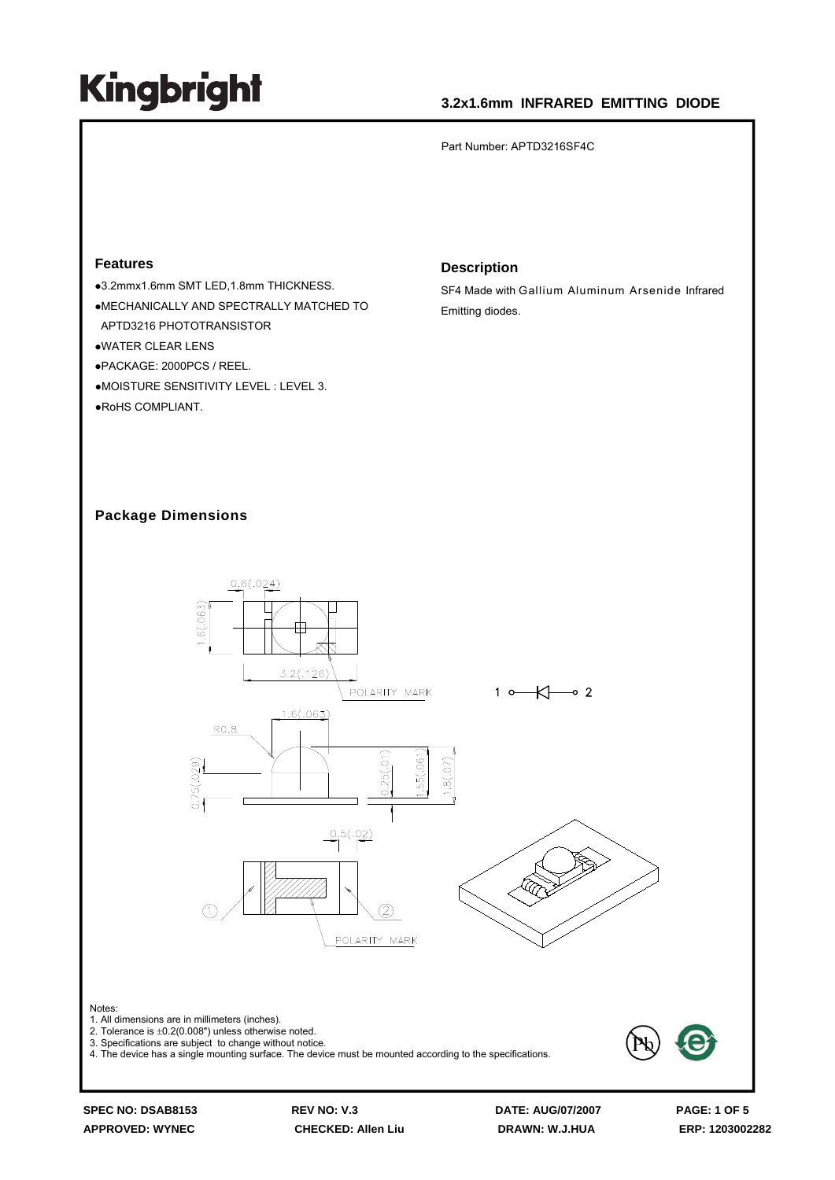## **3.2x1.6mm INFRARED EMITTING DIODE**

Part Number: APTD3216SF4C

#### **Features**

●3.2mmx1.6mm SMT LED,1.8mm THICKNESS.  $\bullet$ MECHANICALLY AND SPECTRALLY MATCHED TO APTD3216 PHOTOTRANSISTOR **•WATER CLEAR LENS** zPACKAGE: 2000PCS / REEL. ●MOISTURE SENSITIVITY LEVEL : LEVEL 3. ●RoHS COMPLIANT.

#### **Description**

SF4 Made with Gallium Aluminum Arsenide Infrared Emitting diodes.

#### **Package Dimensions**



**APPROVED: WYNEC CHECKED: Allen Liu DRAWN: W.J.HUA ERP: 1203002282**

**SPEC NO: DSAB8153 REV NO: V.3 DATE: AUG/07/2007 PAGE: 1 OF 5**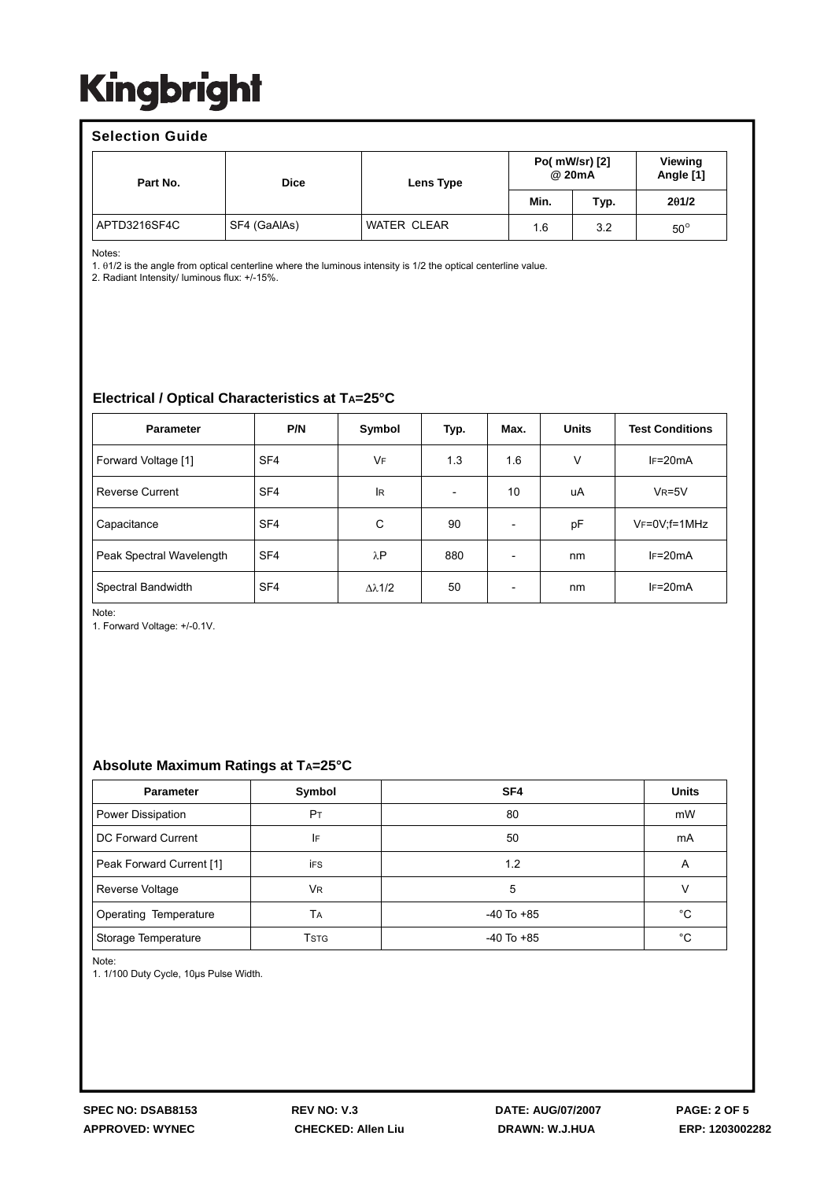#### **Selection Guide**

| Part No.     | <b>Dice</b>  | Lens Type          | Po( mW/sr) [2]<br>@ 20mA |      | <b>Viewing</b><br>Angle [1] |
|--------------|--------------|--------------------|--------------------------|------|-----------------------------|
|              |              |                    | Min.                     | Typ. | 201/2                       |
| APTD3216SF4C | SF4 (GaAlAs) | <b>WATER CLEAR</b> | 1.6                      | 3.2  | $50^\circ$                  |

Notes:

1. θ1/2 is the angle from optical centerline where the luminous intensity is 1/2 the optical centerline value.

2. Radiant Intensity/ luminous flux: +/-15%.

## **Electrical / Optical Characteristics at TA=25°C**

| <b>Parameter</b>         | P/N             | Symbol    | Typ.                     | Max.                     | <b>Units</b> | <b>Test Conditions</b> |
|--------------------------|-----------------|-----------|--------------------------|--------------------------|--------------|------------------------|
| Forward Voltage [1]      | SF <sub>4</sub> | VF        | 1.3                      | 1.6                      | $\vee$       | $IF=20mA$              |
| <b>Reverse Current</b>   | SF <sub>4</sub> | <b>IR</b> | $\overline{\phantom{a}}$ | 10                       | uA           | $V_R = 5V$             |
| Capacitance              | SF <sub>4</sub> | C         | 90                       | $\overline{\phantom{a}}$ | pF           | VF=0V;f=1MHz           |
| Peak Spectral Wavelength | SF <sub>4</sub> | λP        | 880                      |                          | nm           | $IF=20mA$              |
| Spectral Bandwidth       | SF <sub>4</sub> | Δλ1/2     | 50                       | $\overline{\phantom{a}}$ | nm           | $IF=20mA$              |

Note:

1. Forward Voltage: +/-0.1V.

### **Absolute Maximum Ratings at TA=25°C**

| <b>Parameter</b>          | Symbol         | SF <sub>4</sub> | <b>Units</b> |
|---------------------------|----------------|-----------------|--------------|
| Power Dissipation         | P <sub>T</sub> | 80              | mW           |
| <b>DC Forward Current</b> | IF             | 50              | mA           |
| Peak Forward Current [1]  | <b>iFS</b>     | 1.2             | A            |
| Reverse Voltage           | <b>VR</b>      | 5               |              |
| Operating Temperature     | TA             | $-40$ To $+85$  | °C           |
| Storage Temperature       | <b>T</b> stg   | $-40$ To $+85$  | °C           |

Note:

1. 1/100 Duty Cycle, 10μs Pulse Width.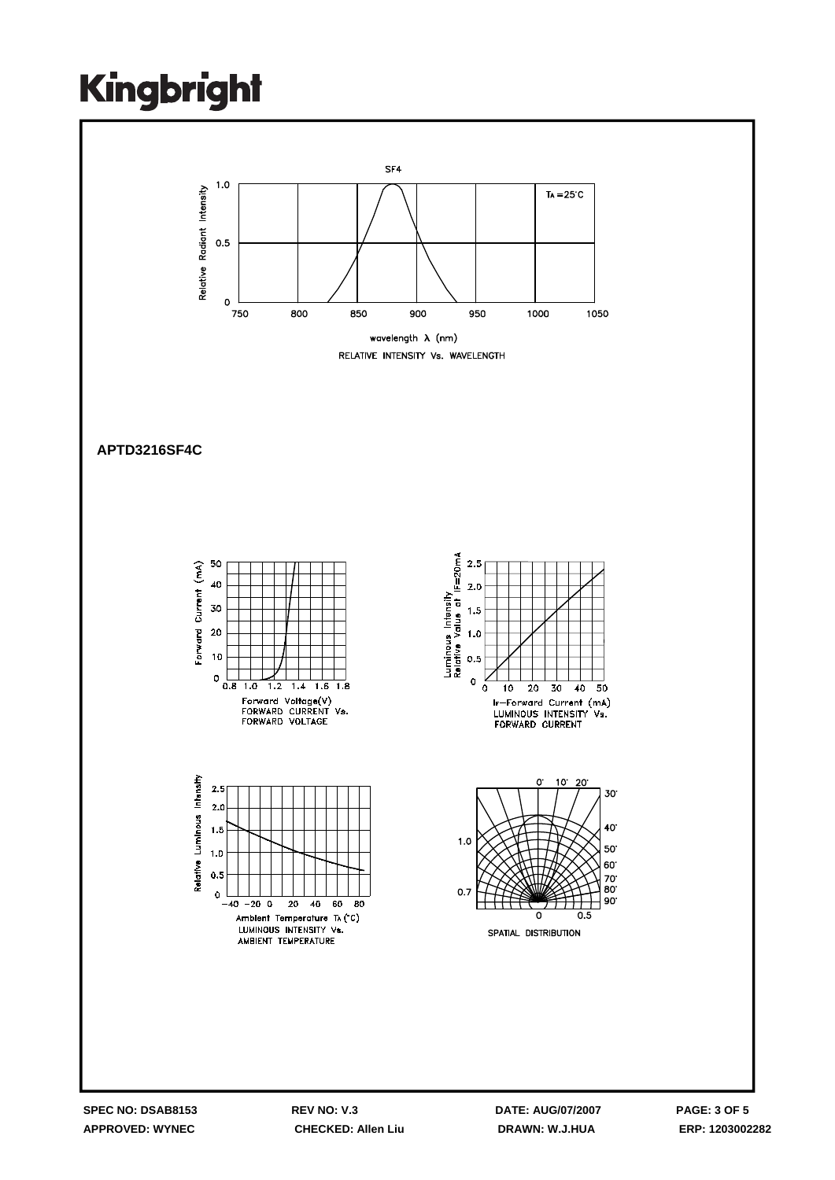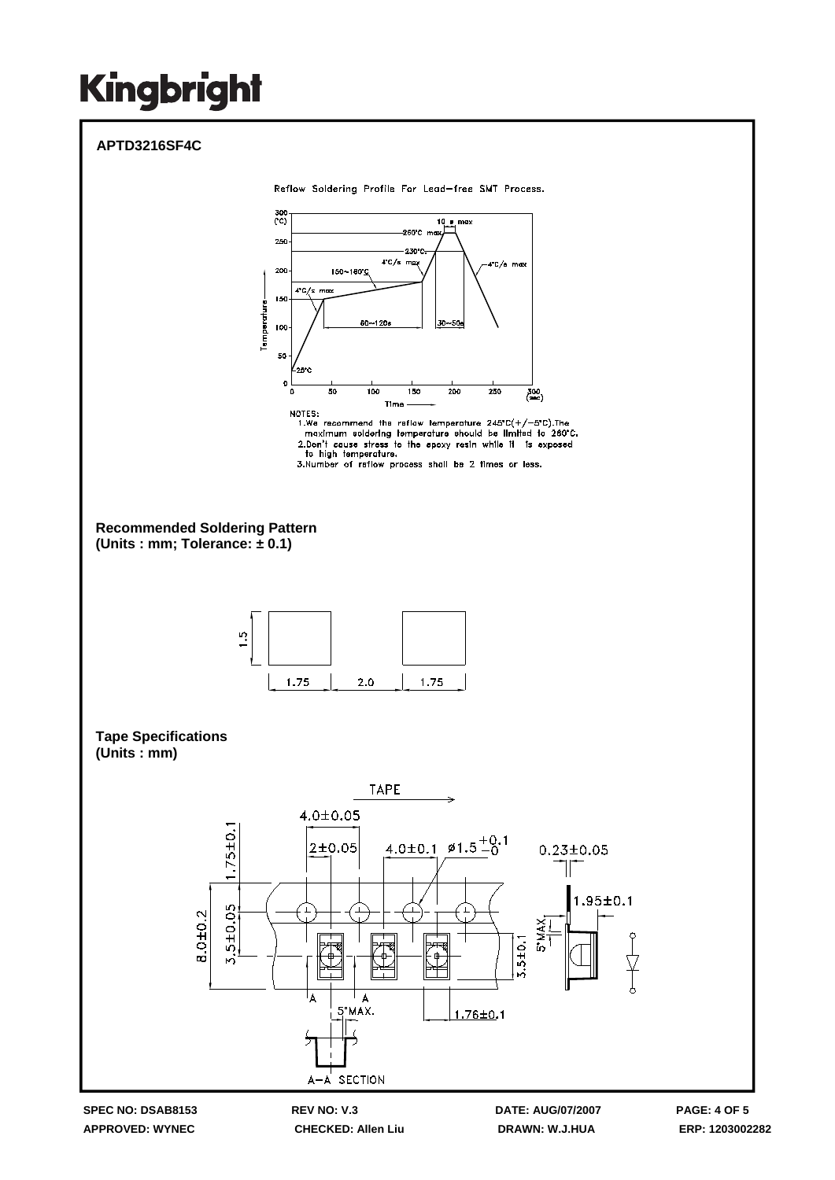